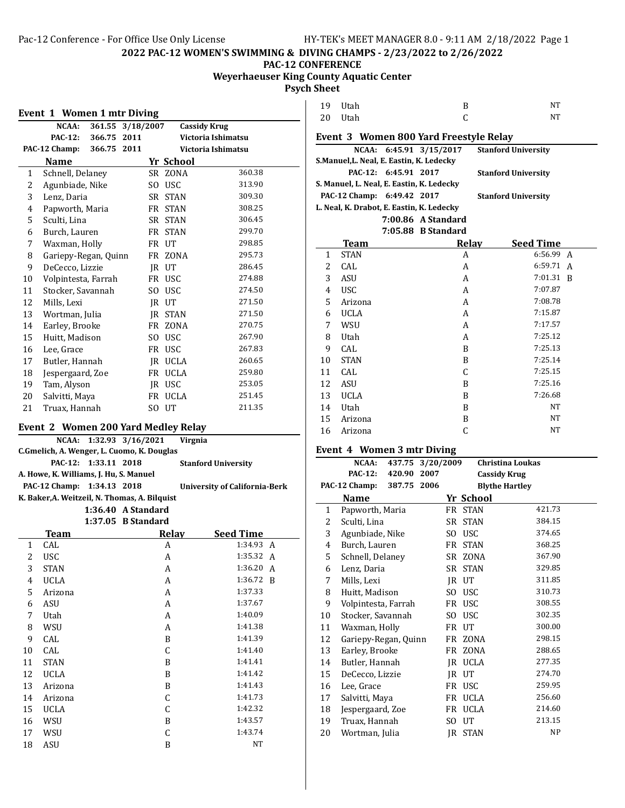#### **PAC-12 CONFERENCE Weyerhaeuser King County Aquatic Center**

**Psych Sheet**

|                                     | $NCAA$ :             | 361.55 | 3/18/2007 |     |                | <b>Cassidy Krug</b> |
|-------------------------------------|----------------------|--------|-----------|-----|----------------|---------------------|
|                                     | <b>PAC-12:</b>       | 366.75 | 2011      |     |                | Victoria Ishimatsu  |
|                                     | PAC-12 Champ:        | 366.75 | 2011      |     |                | Victoria Ishimatsu  |
|                                     | <b>Name</b>          |        |           |     | Yr School      |                     |
| $\mathbf{1}$                        | Schnell, Delaney     |        |           |     | SR ZONA        | 360.38              |
| 2                                   | Agunbiade, Nike      |        |           | SO. | <b>USC</b>     | 313.90              |
| 3                                   | Lenz, Daria          |        |           |     | SR STAN        | 309.30              |
| 4                                   | Papworth, Maria      |        |           |     | FR STAN        | 308.25              |
| 5                                   | Sculti, Lina         |        |           | SR  | <b>STAN</b>    | 306.45              |
| 6                                   | Burch, Lauren        |        |           |     | FR STAN        | 299.70              |
| 7                                   | Waxman, Holly        |        |           |     | FR UT          | 298.85              |
| 8                                   | Gariepy-Regan, Quinn |        |           |     | FR ZONA        | 295.73              |
| 9                                   | DeCecco, Lizzie      |        |           |     | IR UT          | 286.45              |
| 10                                  | Volpintesta, Farrah  |        |           |     | FR USC         | 274.88              |
| 11                                  | Stocker, Savannah    |        |           | SO. | <b>USC</b>     | 274.50              |
| 12                                  | Mills, Lexi          |        |           |     | IR UT          | 271.50              |
| 13                                  | Wortman, Julia       |        |           | IR  | <b>STAN</b>    | 271.50              |
| 14                                  | Earley, Brooke       |        |           | FR  | <b>ZONA</b>    | 270.75              |
| 15                                  | Huitt, Madison       |        |           | SO. | <b>USC</b>     | 267.90              |
| 16                                  | Lee, Grace           |        |           |     | FR USC         | 267.83              |
| 17                                  | Butler, Hannah       |        |           |     | <b>IR UCLA</b> | 260.65              |
| 18                                  | Jespergaard, Zoe     |        |           | FR  | <b>UCLA</b>    | 259.80              |
| 19                                  | Tam, Alyson          |        |           |     | IR USC         | 253.05              |
| 20                                  | Salvitti, Maya       |        |           | FR  | <b>UCLA</b>    | 251.45              |
| 21                                  | Truax, Hannah        |        |           |     | SO UT          | 211.35              |
| Event 2 Women 200 Yard Medley Relay |                      |        |           |     |                |                     |

#### **NCAA: 1:32.93 3/16/2021 Virgnia C.Gmelich, A. Wenger, L. Cuomo, K. Douglas PAC-12: 1:33.11 2018 Stanford University A. Howe, K. Williams, J. Hu, S. Manuel PAC-12 Champ: 1:34.13 2018 University of California-Berk K. Baker,A. Weitzeil, N. Thomas, A. Bilquist 1:36.40 A Standard 1:37.05 B Standard Team Relay Seed Time**<br>CAL A 1:34.93 1 CAL A 1:34.93 A 2 USC A 1:35.32 A 3 STAN A 1:36.20 A 4 UCLA A 1:36.72 B 5 Arizona **A** 1:37.33 6 ASU A 1:37.67 7 Utah 1:40.09 8 WSU A 1:41.38 9 CAL B 1:41.39 10 CAL C 1:41.40 11 STAN B 1:41.41 12 UCLA B 1:41.42 13 Arizona B 1:41.43 14 Arizona C 1:41.73 15 UCLA C 1:42.32 16 WSU B 1:43.57 17 WSU C 1:43.74 18 ASU B NT

| 19 Utah | B | NT |
|---------|---|----|
| 20 Utah |   | NT |

# **Event 3 Women 800 Yard Freestyle Relay**

|                                                       | Event 3 women 800 rard Freestyle Relay             |  |       |                            |   |  |  |  |
|-------------------------------------------------------|----------------------------------------------------|--|-------|----------------------------|---|--|--|--|
| NCAA: 6:45.91 3/15/2017<br><b>Stanford University</b> |                                                    |  |       |                            |   |  |  |  |
|                                                       | S.Manuel, L. Neal, E. Eastin, K. Ledecky           |  |       |                            |   |  |  |  |
|                                                       | PAC-12: 6:45.91 2017<br><b>Stanford University</b> |  |       |                            |   |  |  |  |
|                                                       | S. Manuel, L. Neal, E. Eastin, K. Ledecky          |  |       |                            |   |  |  |  |
|                                                       | PAC-12 Champ: 6:49.42 2017                         |  |       | <b>Stanford University</b> |   |  |  |  |
|                                                       | L. Neal, K. Drabot, E. Eastin, K. Ledecky          |  |       |                            |   |  |  |  |
|                                                       | 7:00.86 A Standard                                 |  |       |                            |   |  |  |  |
|                                                       | 7:05.88 B Standard                                 |  |       |                            |   |  |  |  |
|                                                       | Team                                               |  | Relay | <b>Seed Time</b>           |   |  |  |  |
| 1                                                     | <b>STAN</b>                                        |  | A     | $6:56.99$ A                |   |  |  |  |
| $\mathcal{L}$                                         | CAL                                                |  | A     | 6:59.71                    | A |  |  |  |
| 3                                                     | ASU                                                |  | A     | 7:01.31 R                  |   |  |  |  |
| 4                                                     | <b>USC</b>                                         |  | A     | 7:07.87                    |   |  |  |  |
| 5                                                     | Arizona                                            |  | A     | 7:08.78                    |   |  |  |  |
| 6                                                     | UCLA                                               |  | A     | 7:15.87                    |   |  |  |  |
| 7                                                     | WSU                                                |  | A     | 7:17.57                    |   |  |  |  |
| 8                                                     | Utah                                               |  | A     | 7:25.12                    |   |  |  |  |
|                                                       |                                                    |  |       |                            |   |  |  |  |

| 8  | Utah        | A | 7:25.12   |
|----|-------------|---|-----------|
| 9  | CAL         | B | 7:25.13   |
| 10 | <b>STAN</b> | B | 7:25.14   |
| 11 | CAL         | C | 7:25.15   |
| 12 | ASU         | B | 7:25.16   |
| 13 | <b>UCLA</b> | B | 7:26.68   |
| 14 | Utah        | B | NT        |
| 15 | Arizona     | B | NT        |
| 16 | Arizona     | C | <b>NT</b> |
|    |             |   |           |

#### **Event 4 Women 3 mtr Diving**

|    | NCAA:                | 437.75      | 3/20/2009 |     |                | <b>Christina Loukas</b> |  |
|----|----------------------|-------------|-----------|-----|----------------|-------------------------|--|
|    | <b>PAC-12:</b>       | 420.90      | 2007      |     |                | <b>Cassidy Krug</b>     |  |
|    | PAC-12 Champ:        | 387.75 2006 |           |     |                | <b>Blythe Hartley</b>   |  |
|    | <b>Name</b>          |             |           |     | Yr School      |                         |  |
| 1  | Papworth, Maria      |             |           |     | FR STAN        | 421.73                  |  |
| 2  | Sculti, Lina         |             |           |     | SR STAN        | 384.15                  |  |
| 3  | Agunbiade, Nike      |             |           | SO. | <b>USC</b>     | 374.65                  |  |
| 4  | Burch, Lauren        |             |           |     | FR STAN        | 368.25                  |  |
| 5  | Schnell, Delaney     |             |           |     | SR ZONA        | 367.90                  |  |
| 6  | Lenz, Daria          |             |           | SR  | <b>STAN</b>    | 329.85                  |  |
| 7  | Mills, Lexi          |             |           | JR  | UT             | 311.85                  |  |
| 8  | Huitt, Madison       |             |           | SO. | USC            | 310.73                  |  |
| 9  | Volpintesta, Farrah  |             |           | FR  | USC            | 308.55                  |  |
| 10 | Stocker, Savannah    |             |           | SO. | <b>USC</b>     | 302.35                  |  |
| 11 | Waxman, Holly        |             |           |     | FR UT          | 300.00                  |  |
| 12 | Gariepy-Regan, Quinn |             |           |     | FR ZONA        | 298.15                  |  |
| 13 | Earley, Brooke       |             |           | FR  | ZONA           | 288.65                  |  |
| 14 | Butler, Hannah       |             |           | IR  | <b>UCLA</b>    | 277.35                  |  |
| 15 | DeCecco, Lizzie      |             |           | IR. | UT             | 274.70                  |  |
| 16 | Lee, Grace           |             |           | FR  | <b>USC</b>     | 259.95                  |  |
| 17 | Salvitti, Maya       |             |           | FR  | <b>UCLA</b>    | 256.60                  |  |
| 18 | Jespergaard, Zoe     |             |           |     | FR UCLA        | 214.60                  |  |
| 19 | Truax, Hannah        |             |           | SO. | UT             | 213.15                  |  |
| 20 | Wortman, Julia       |             |           |     | <b>IR STAN</b> | NP                      |  |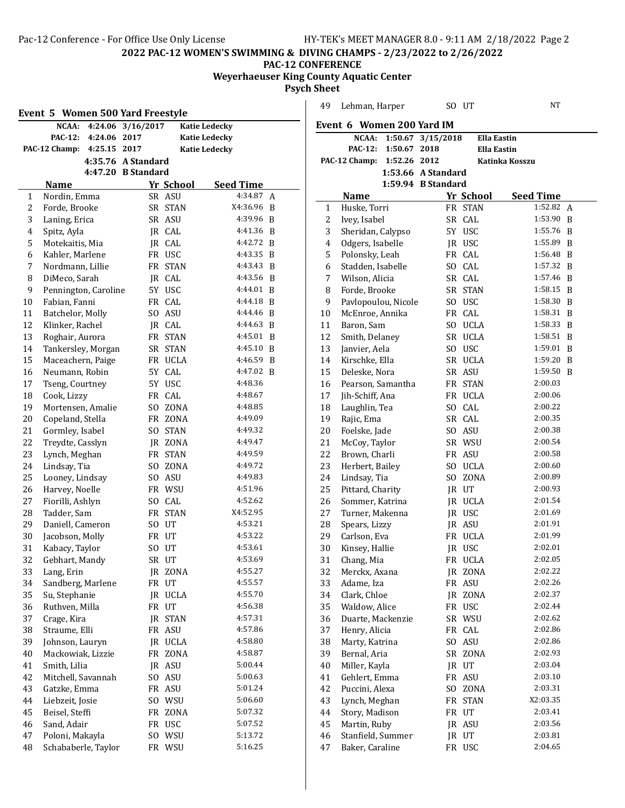# **PAC-12 CONFERENCE Weyerhaeuser King County Aquatic Center**

**Psych Sheet**

|                | Event 5 Women 500 Yard Freestyle |                    |           |                      | 49             | Lehman, Harper            |
|----------------|----------------------------------|--------------------|-----------|----------------------|----------------|---------------------------|
|                | NCAA: 4:24.06 3/16/2017          |                    |           | <b>Katie Ledecky</b> |                | Event 6 Women 200         |
|                | 4:24.06 2017<br><b>PAC-12:</b>   |                    |           | <b>Katie Ledecky</b> |                | NCAA:<br>1:50.67          |
|                | PAC-12 Champ:<br>4:25.15 2017    |                    |           | <b>Katie Ledecky</b> |                | <b>PAC-12:</b><br>1:50.67 |
|                |                                  | 4:35.76 A Standard |           |                      |                | PAC-12 Champ:<br>1:52.26  |
|                |                                  | 4:47.20 B Standard |           |                      |                | 1:53.66                   |
|                | <b>Name</b>                      |                    | Yr School | <b>Seed Time</b>     |                | 1:59.94                   |
| 1              | Nordin, Emma                     |                    | SR ASU    | 4:34.87 A            |                | Name                      |
| 2              | Forde, Brooke                    |                    | SR STAN   | X4:36.96 B           | 1              | Huske, Torri              |
| 3              | Laning, Erica                    |                    | SR ASU    | 4:39.96 B            | $\overline{c}$ | Ivey, Isabel              |
| $\overline{4}$ | Spitz, Ayla                      |                    | JR CAL    | 4:41.36 B            | 3              | Sheridan, Calypso         |
| 5              | Motekaitis, Mia                  |                    | JR CAL    | 4:42.72 B            | $\overline{4}$ | Odgers, Isabelle          |
| 6              | Kahler, Marlene                  |                    | FR USC    | 4:43.35 B            | 5              | Polonsky, Leah            |
| 7              | Nordmann, Lillie                 |                    | FR STAN   | 4:43.43 B            | 6              | Stadden, Isabelle         |
| 8              | DiMeco, Sarah                    |                    | JR CAL    | 4:43.56 B            | 7              | Wilson, Alicia            |
| 9              | Pennington, Caroline             |                    | 5Y USC    | 4:44.01 B            | 8              | Forde, Brooke             |
| 10             | Fabian, Fanni                    |                    | FR CAL    | 4:44.18 R            | 9              | Pavlopoulou, Nicole       |
| 11             | Batchelor, Molly                 |                    | SO ASU    | 4:44.46 B            | 10             | McEnroe, Annika           |
| 12             | Klinker, Rachel                  |                    | JR CAL    | 4:44.63 B            | 11             | Baron, Sam                |
| 13             | Roghair, Aurora                  |                    | FR STAN   | $4:45.01$ B          | 12             | Smith, Delaney            |
| 14             | Tankersley, Morgan               |                    | SR STAN   | 4:45.10 B            | 13             | Janvier, Aela             |
| 15             | Maceachern, Paige                |                    | FR UCLA   | 4:46.59 B            | 14             | Kirschke, Ella            |
| 16             | Neumann, Robin                   |                    | 5Y CAL    | 4:47.02 B            | 15             | Deleske, Nora             |
| 17             | Tseng, Courtney                  |                    | 5Y USC    | 4:48.36              | 16             | Pearson, Samantha         |
| 18             | Cook, Lizzy                      |                    | FR CAL    | 4:48.67              | 17             | Jih-Schiff, Ana           |
| 19             | Mortensen, Amalie                |                    | SO ZONA   | 4:48.85              | 18             | Laughlin, Tea             |
| 20             | Copeland, Stella                 |                    | FR ZONA   | 4:49.09              | 19             | Rajic, Ema                |
| 21             | Gormley, Isabel                  |                    | SO STAN   | 4:49.32              | 20             | Foelske, Jade             |
| 22             | Treydte, Casslyn                 |                    | JR ZONA   | 4:49.47              | 21             | McCoy, Taylor             |
| 23             | Lynch, Meghan                    |                    | FR STAN   | 4:49.59              | 22             | Brown, Charli             |
| 24             | Lindsay, Tia                     |                    | SO ZONA   | 4:49.72              | 23             | Herbert, Bailey           |
| 25             | Looney, Lindsay                  |                    | SO ASU    | 4:49.83              | 24             | Lindsay, Tia              |
| 26             | Harvey, Noelle                   |                    | FR WSU    | 4:51.96              | 25             | Pittard, Charity          |
| 27             | Fiorilli, Ashlyn                 |                    | SO CAL    | 4:52.62              | 26             | Sommer, Katrina           |
| 28             | Tadder, Sam                      |                    | FR STAN   | X4:52.95             | 27             | Turner, Makenna           |
| 29             | Daniell, Cameron                 |                    | SO UT     | 4:53.21              | 28             | Spears, Lizzy             |
| 30             | Jacobson, Molly                  |                    | FR UT     | 4:53.22              | 29             | Carlson, Eva              |
| 31             | Kabacy, Taylor                   |                    | SO UT     | 4:53.61              | 30             | Kinsey, Hallie            |
| 32             | Gebhart, Mandy                   |                    | SR UT     | 4:53.69              | 31             | Chang, Mia                |
| 33             | Lang, Erin                       |                    | JR ZONA   | 4:55.27              | 32             | Merckx, Axana             |
| 34             | Sandberg, Marlene                |                    | FR UT     | 4:55.57              | 33             | Adame, Iza                |
| 35             | Su, Stephanie                    |                    | JR UCLA   | 4:55.70              | 34             | Clark, Chloe              |
| 36             | Ruthven, Milla                   |                    | FR UT     | 4:56.38              | 35             | Waldow, Alice             |
| 37             | Crage, Kira                      |                    | JR STAN   | 4:57.31              | 36             | Duarte, Mackenzie         |
| 38             | Straume, Elli                    |                    | FR ASU    | 4:57.86              | 37             | Henry, Alicia             |
| 39             | Johnson, Lauryn                  |                    | JR UCLA   | 4:58.80              | 38             | Marty, Katrina            |
| 40             | Mackowiak, Lizzie                |                    | FR ZONA   | 4:58.87              | 39             | Bernal, Aria              |
| 41             | Smith, Lilia                     |                    | JR ASU    | 5:00.44              | $40\,$         | Miller, Kayla             |
| 42             | Mitchell, Savannah               |                    | SO ASU    | 5:00.63              | 41             | Gehlert, Emma             |
| 43             | Gatzke, Emma                     |                    | FR ASU    | 5:01.24              | 42             | Puccini, Alexa            |
| 44             | Liebzeit, Josie                  |                    | SO WSU    | 5:06.60              | 43             | Lynch, Meghan             |
| 45             | Beisel, Steffi                   |                    | FR ZONA   | 5:07.32              | 44             | Story, Madison            |
|                | Sand, Adair                      |                    | FR USC    | 5:07.52              | 45             | Martin, Ruby              |
| 46             |                                  |                    |           |                      |                |                           |
| 47             | Poloni, Makayla                  |                    | SO WSU    | 5:13.72              | 46             | Stanfield, Summer         |

| 49       | Lehman, Harper                     |                    | SO UT            | NΤ                 |   |
|----------|------------------------------------|--------------------|------------------|--------------------|---|
|          | Event 6 Women 200 Yard IM          |                    |                  |                    |   |
|          | NCAA:                              | 1:50.67 3/15/2018  |                  | <b>Ella Eastin</b> |   |
|          | <b>PAC-12:</b><br>1:50.67          | 2018               |                  | Ella Eastin        |   |
|          | PAC-12 Champ: 1:52.26 2012         |                    |                  | Katinka Kosszu     |   |
|          |                                    | 1:53.66 A Standard |                  |                    |   |
|          |                                    | 1:59.94 B Standard |                  |                    |   |
|          | <b>Name</b>                        |                    | Yr School        | <b>Seed Time</b>   |   |
| 1        | Huske, Torri                       |                    | FR STAN          | 1:52.82            | A |
| 2        | Ivey, Isabel                       |                    | SR CAL           | 1:53.90<br>1:55.76 | B |
| 3        | Sheridan, Calypso                  |                    | 5Y USC           | 1:55.89            | B |
| 4<br>5   | Odgers, Isabelle<br>Polonsky, Leah |                    | JR USC<br>FR CAL | 1:56.48 B          | B |
| 6        | Stadden, Isabelle                  |                    | SO CAL           | 1:57.32 B          |   |
| 7        | Wilson, Alicia                     |                    | SR CAL           | 1:57.46 B          |   |
| 8        | Forde, Brooke                      |                    | SR STAN          | $1:58.15$ B        |   |
| 9        | Pavlopoulou, Nicole                |                    | SO USC           | 1:58.30 B          |   |
| 10       | McEnroe, Annika                    |                    | FR CAL           | 1:58.31            | B |
| 11       | Baron, Sam                         |                    | SO UCLA          | 1:58.33            | B |
| 12       | Smith, Delaney                     |                    | SR UCLA          | 1:58.51            | B |
| 13       | Janvier, Aela                      |                    | SO USC           | 1:59.01            | B |
| 14       | Kirschke, Ella                     |                    | SR UCLA          | 1:59.20            | B |
| 15       | Deleske. Nora                      |                    | SR ASU           | 1:59.50            | B |
| 16       | Pearson, Samantha                  |                    | FR STAN          | 2:00.03            |   |
| 17       | Jih-Schiff, Ana                    |                    | FR UCLA          | 2:00.06            |   |
| 18       | Laughlin, Tea                      |                    | SO CAL           | 2:00.22            |   |
| 19       | Rajic, Ema                         |                    | SR CAL           | 2:00.35            |   |
| 20       | Foelske, Jade                      |                    | SO ASU           | 2:00.38            |   |
| 21       | McCoy, Taylor                      |                    | SR WSU           | 2:00.54            |   |
| 22       | Brown, Charli                      |                    | FR ASU           | 2:00.58            |   |
| 23       | Herbert, Bailey                    |                    | SO UCLA          | 2:00.60            |   |
| 24       | Lindsay, Tia                       |                    | SO ZONA          | 2:00.89            |   |
| 25       | Pittard, Charity                   |                    | JR UT            | 2:00.93            |   |
| 26       | Sommer, Katrina                    |                    | JR UCLA          | 2:01.54            |   |
| 27       | Turner, Makenna                    |                    | JR USC           | 2:01.69            |   |
| 28       | Spears, Lizzy                      |                    | JR ASU           | 2:01.91            |   |
| 29       | Carlson, Eva                       | FR                 | UCLA             | 2:01.99            |   |
| 30       | Kinsey, Hallie                     | IR                 | USC              | 2:02.01            |   |
| 31       | Chang, Mia                         |                    | FR UCLA          | 2:02.05            |   |
| 32       | Merckx, Axana                      |                    | JR ZONA          | 2:02.22            |   |
| 33       | Adame, Iza                         |                    | FR ASU           | 2:02.26            |   |
| 34       | Clark, Chloe                       |                    | JR ZONA          | 2:02.37            |   |
| 35       | Waldow, Alice                      |                    | FR USC           | 2:02.44            |   |
| 36       | Duarte, Mackenzie                  |                    | SR WSU           | 2:02.62            |   |
| 37       | Henry, Alicia<br>Marty, Katrina    |                    | FR CAL           | 2:02.86<br>2:02.86 |   |
| 38<br>39 |                                    | SR                 | SO ASU           | 2:02.93            |   |
| 40       | Bernal, Aria<br>Miller, Kayla      |                    | ZONA<br>JR UT    | 2:03.04            |   |
| 41       | Gehlert, Emma                      |                    | FR ASU           | 2:03.10            |   |
| 42       | Puccini, Alexa                     |                    | SO ZONA          | 2:03.31            |   |
| 43       | Lynch, Meghan                      |                    | FR STAN          | X2:03.35           |   |
| 44       | Story, Madison                     |                    | FR UT            | 2:03.41            |   |
| 45       | Martin, Ruby                       |                    | JR ASU           | 2:03.56            |   |
| 46       | Stanfield, Summer                  |                    | JR UT            | 2:03.81            |   |
| 47       | Baker, Caraline                    |                    | FR USC           | 2:04.65            |   |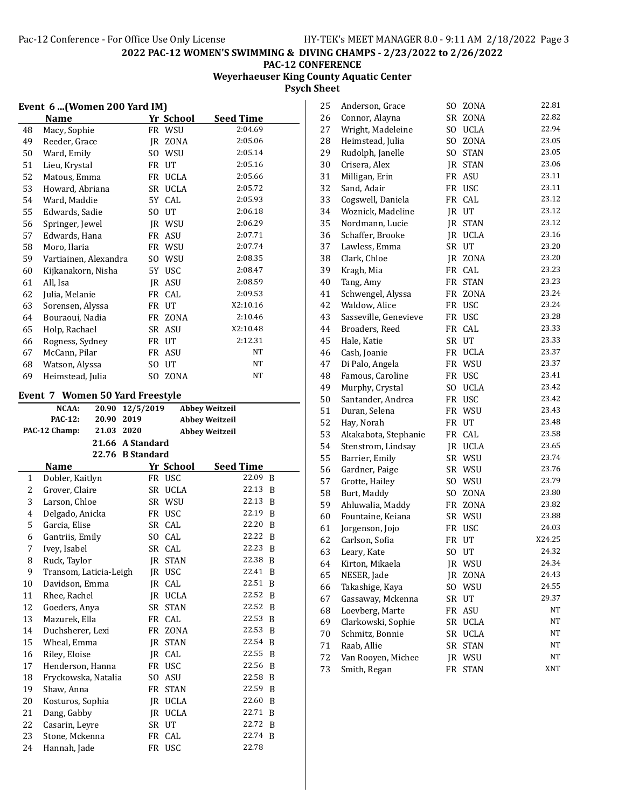# **Weyerhaeuser King County Aquatic Center Psych Sheet**

| Event 6  (Women 200 Yard IM) |                                       |                 |              |                                                |   |  |
|------------------------------|---------------------------------------|-----------------|--------------|------------------------------------------------|---|--|
|                              | Name                                  |                 | Yr School    | <b>Seed Time</b>                               |   |  |
| 48                           | Macy, Sophie                          |                 | FR WSU       | 2:04.69                                        |   |  |
| 49                           | Reeder, Grace                         |                 | JR ZONA      | 2:05.06                                        |   |  |
| 50                           | Ward, Emily                           |                 | SO WSU       | 2:05.14                                        |   |  |
| 51                           | Lieu, Krystal                         |                 | FR UT        | 2:05.16                                        |   |  |
| 52                           | Matous, Emma                          |                 | FR UCLA      | 2:05.66                                        |   |  |
| 53                           | Howard, Abriana                       |                 | SR UCLA      | 2:05.72                                        |   |  |
| 54                           | Ward, Maddie                          |                 | 5Y CAL       | 2:05.93                                        |   |  |
| 55                           | Edwards, Sadie                        |                 | SO UT        | 2:06.18                                        |   |  |
| 56                           | Springer, Jewel                       |                 | JR WSU       | 2:06.29                                        |   |  |
| 57                           | Edwards, Hana                         |                 | FR ASU       | 2:07.71                                        |   |  |
| 58                           | Moro, Ilaria                          |                 | FR WSU       | 2:07.74                                        |   |  |
| 59                           | Vartiainen, Alexandra                 |                 | SO WSU       | 2:08.35                                        |   |  |
| 60                           | Kijkanakorn, Nisha                    |                 | 5Y USC       | 2:08.47                                        |   |  |
| 61                           | All, Isa                              |                 | IR ASU       | 2:08.59                                        |   |  |
| 62                           | Julia, Melanie                        |                 | FR CAL       | 2:09.53                                        |   |  |
| 63                           | Sorensen, Alyssa                      |                 | FR UT        | X2:10.16                                       |   |  |
| 64                           | Bouraoui, Nadia                       |                 | FR ZONA      | 2:10.46                                        |   |  |
| 65                           | Holp, Rachael                         |                 | SR ASU       | X2:10.48                                       |   |  |
| 66                           | Rogness, Sydney                       |                 | FR UT        | 2:12.31                                        |   |  |
| 67                           | McCann, Pilar                         |                 | FR ASU       | NΤ                                             |   |  |
| 68                           | Watson, Alyssa                        |                 | SO UT        | NΤ                                             |   |  |
| 69                           | Heimstead, Julia                      |                 | SO ZONA      | NΤ                                             |   |  |
|                              |                                       |                 |              |                                                |   |  |
|                              | Event 7 Women 50 Yard Freestyle       |                 |              |                                                |   |  |
|                              | NCAA:<br><b>PAC-12:</b><br>20.90 2019 | 20.90 12/5/2019 |              | <b>Abbey Weitzeil</b><br><b>Abbey Weitzeil</b> |   |  |
|                              |                                       |                 |              |                                                |   |  |
|                              |                                       |                 |              |                                                |   |  |
|                              | PAC-12 Champ:<br>21.03 2020           |                 |              | <b>Abbey Weitzeil</b>                          |   |  |
|                              | 21.66 A Standard                      |                 |              |                                                |   |  |
|                              | 22.76 B Standard<br>Name              |                 | Yr School    | <b>Seed Time</b>                               |   |  |
| 1                            | Dobler, Kaitlyn                       |                 | FR USC       | 22.09 B                                        |   |  |
| 2                            | Grover, Claire                        |                 | SR UCLA      | 22.13 B                                        |   |  |
| 3                            | Larson, Chloe                         |                 | SR WSU       | 22.13                                          | B |  |
| 4                            | Delgado, Anicka                       |                 | FR USC       | 22.19 B                                        |   |  |
| 5                            | Garcia, Elise                         |                 | SR CAL       | 22.20 B                                        |   |  |
| 6                            | Gantriis, Emily                       |                 | SO CAL       | 22.22                                          | B |  |
| 7                            | Ivey, Isabel                          |                 | SR CAL       | 22.23                                          | B |  |
| 8                            | Ruck, Taylor                          |                 | JR STAN      | 22.38                                          | B |  |
| 9                            | Transom, Laticia-Leigh                | IR              | <b>USC</b>   | 22.41                                          | B |  |
| 10                           | Davidson, Emma                        | JR              |              | 22.51                                          | B |  |
| 11                           | Rhee, Rachel                          |                 | CAL          | 22.52                                          | B |  |
| 12                           |                                       | JR<br>SR        | UCLA         | 22.52                                          | B |  |
|                              | Goeders, Anya                         |                 | <b>STAN</b>  | 22.53 B                                        |   |  |
| 13<br>14                     | Mazurek, Ella                         | FR              | FR CAL       | 22.53                                          | B |  |
|                              | Duchsherer, Lexi                      |                 | ZONA         |                                                | B |  |
| 15                           | Wheal, Emma                           | JR              | STAN         | 22.54<br>22.55                                 | B |  |
| 16                           | Riley, Eloise                         | JR<br>FR        | CAL          | 22.56                                          | B |  |
| $17\,$                       | Henderson, Hanna                      |                 | USC          |                                                |   |  |
| 18                           | Fryckowska, Natalia                   | SO.             | ASU          | 22.58 B                                        |   |  |
| 19                           | Shaw, Anna                            | FR              | <b>STAN</b>  | 22.59 B<br>22.60                               |   |  |
| 20                           | Kosturos, Sophia                      |                 | JR UCLA      |                                                | B |  |
| 21                           | Dang, Gabby                           |                 | JR UCLA      | 22.71                                          | B |  |
| 22<br>23                     | Casarin, Leyre<br>Stone, Mckenna      | SR              | UT<br>FR CAL | 22.72<br>22.74 B                               | B |  |

| 25 | Anderson, Grace       | SO.            | ZONA        | 22.81  |
|----|-----------------------|----------------|-------------|--------|
| 26 | Connor, Alayna        | SR             | ZONA        | 22.82  |
| 27 | Wright, Madeleine     | SO.            | <b>UCLA</b> | 22.94  |
| 28 | Heimstead, Julia      | SO.            | ZONA        | 23.05  |
| 29 | Rudolph, Janelle      | SO.            | <b>STAN</b> | 23.05  |
| 30 | Crisera, Alex         | JR             | <b>STAN</b> | 23.06  |
| 31 | Milligan, Erin        | FR             | <b>ASU</b>  | 23.11  |
| 32 | Sand, Adair           | <b>FR</b>      | <b>USC</b>  | 23.11  |
| 33 | Cogswell, Daniela     | FR             | CAL         | 23.12  |
| 34 | Woznick, Madeline     | JR             | UT          | 23.12  |
| 35 | Nordmann, Lucie       | JR             | <b>STAN</b> | 23.12  |
| 36 | Schaffer, Brooke      | JR             | <b>UCLA</b> | 23.16  |
| 37 | Lawless, Emma         | SR             | UT          | 23.20  |
| 38 | Clark, Chloe          | JR             | ZONA        | 23.20  |
| 39 | Kragh, Mia            | FR             | CAL         | 23.23  |
| 40 | Tang, Amy             | FR             | <b>STAN</b> | 23.23  |
| 41 | Schwengel, Alyssa     | FR             | ZONA        | 23.24  |
| 42 | Waldow, Alice         | FR             | <b>USC</b>  | 23.24  |
| 43 | Sasseville, Genevieve | FR             | <b>USC</b>  | 23.28  |
| 44 | Broaders, Reed        | FR             | CAL         | 23.33  |
| 45 | Hale, Katie           | SR             | UT          | 23.33  |
| 46 | Cash, Joanie          |                | FR UCLA     | 23.37  |
| 47 | Di Palo, Angela       | FR             | WSU         | 23.37  |
| 48 | Famous, Caroline      | FR             | <b>USC</b>  | 23.41  |
| 49 | Murphy, Crystal       | SO.            | <b>UCLA</b> | 23.42  |
| 50 | Santander, Andrea     | FR             | <b>USC</b>  | 23.42  |
| 51 | Duran, Selena         | FR             | WSU         | 23.43  |
| 52 | Hay, Norah            | FR             | UT          | 23.48  |
| 53 | Akakabota, Stephanie  | FR             | CAL         | 23.58  |
| 54 | Stenstrom, Lindsay    | JR.            | <b>UCLA</b> | 23.65  |
| 55 | Barrier, Emily        | SR             | WSU         | 23.74  |
| 56 | Gardner, Paige        | SR             | WSU         | 23.76  |
| 57 | Grotte, Hailey        | SO.            | WSU         | 23.79  |
| 58 | Burt, Maddy           | SO.            | ZONA        | 23.80  |
| 59 | Ahluwalia, Maddy      | FR             | ZONA        | 23.82  |
| 60 | Fountaine, Keiana     | SR             | WSU         | 23.88  |
| 61 | Jorgenson, Jojo       | FR             | <b>USC</b>  | 24.03  |
| 62 | Carlson, Sofia        | <b>FR</b>      | UT          | X24.25 |
| 63 | Leary, Kate           | S <sub>O</sub> | UT          | 24.32  |
| 64 | Kirton, Mikaela       | JR             | WSU         | 24.34  |
| 65 | NESER, Jade           | JR             | ZONA        | 24.43  |
| 66 | Takashige, Kaya       | SO.            | WSU         | 24.55  |
| 67 | Gassaway, Mckenna     | SR             | UT          | 29.37  |
| 68 | Loevberg, Marte       | FR             | ASU         | NΤ     |
| 69 | Clarkowski, Sophie    | SR             | <b>UCLA</b> | NΤ     |
| 70 | Schmitz, Bonnie       | SR             | <b>UCLA</b> | NT     |
| 71 | Raab, Allie           | SR             | <b>STAN</b> | NΤ     |
| 72 | Van Rooyen, Michee    | JR             | WSU         | NΤ     |
| 73 | Smith, Regan          | FR             | <b>STAN</b> | XNT    |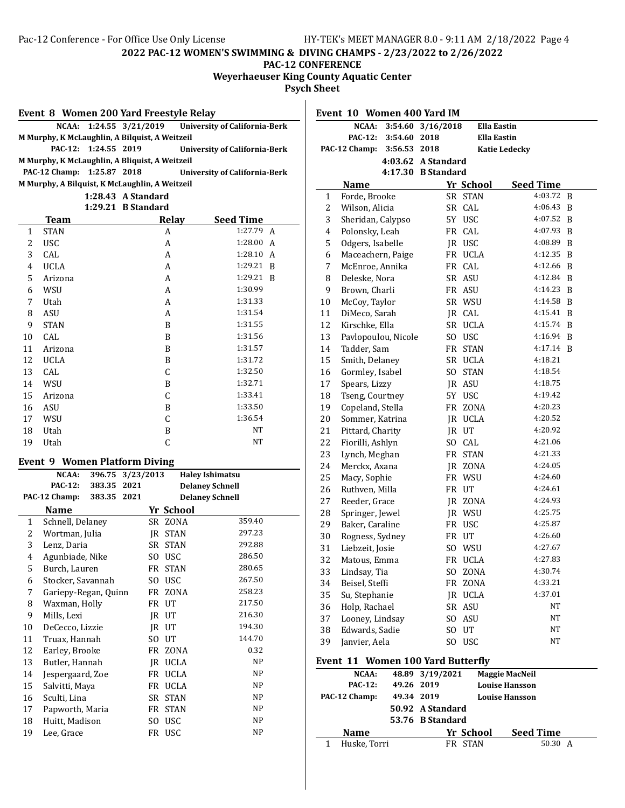**PAC-12 CONFERENCE**

**Weyerhaeuser King County Aquatic Center**

 $\overline{\phantom{a}}$ 

**Psych Sheet**

|  |  |  | Event 8 Women 200 Yard Freestyle Relay |
|--|--|--|----------------------------------------|
|--|--|--|----------------------------------------|

|                                                |                      | NCAA: 1:24.55 3/21/2019 | <b>University of California-Berk</b> |  |  |  |  |
|------------------------------------------------|----------------------|-------------------------|--------------------------------------|--|--|--|--|
| M Murphy, K McLaughlin, A Bilguist, A Weitzeil |                      |                         |                                      |  |  |  |  |
|                                                | PAC-12: 1:24.55 2019 |                         | <b>University of California-Berk</b> |  |  |  |  |
| M Murphy, K McLaughlin, A Bliquist, A Weitzeil |                      |                         |                                      |  |  |  |  |
| PAC-12 Champ: 1:25.87 2018                     |                      |                         | <b>University of California-Berk</b> |  |  |  |  |
| M Murphy, A Bilguist, K McLaughlin, A Weitzeil |                      |                         |                                      |  |  |  |  |
| 1:28.43 A Standard                             |                      |                         |                                      |  |  |  |  |

**1:29.21 B Standard**

|              | <b>Team</b> | Relav | <b>Seed Time</b> |
|--------------|-------------|-------|------------------|
| $\mathbf{1}$ | <b>STAN</b> | A     | 1:27.79 A        |
| 2            | <b>USC</b>  | A     | 1:28.00<br>A     |
| 3            | CAL         | A     | 1:28.10<br>A     |
| 4            | <b>UCLA</b> | A     | 1:29.21<br>B     |
| 5            | Arizona     | A     | 1:29.21<br>B     |
| 6            | WSU         | A     | 1:30.99          |
| 7            | Utah        | A     | 1:31.33          |
| 8            | <b>ASU</b>  | Α     | 1:31.54          |
| 9            | <b>STAN</b> | B     | 1:31.55          |
| 10           | CAL         | B     | 1:31.56          |
| 11           | Arizona     | B     | 1:31.57          |
| 12           | <b>UCLA</b> | B     | 1:31.72          |
| 13           | CAL         | C     | 1:32.50          |
| 14           | WSU         | B     | 1:32.71          |
| 15           | Arizona     | C     | 1:33.41          |
| 16           | ASU         | B     | 1:33.50          |
| 17           | WSU         | C     | 1:36.54          |
| 18           | Utah        | B     | NT               |
| 19           | Utah        | C     | NT               |

### **Event 9 Women Platform Diving**

|              | NCAA:                | 396.75      | 3/23/2013 |             | <b>Haley Ishimatsu</b> |  |
|--------------|----------------------|-------------|-----------|-------------|------------------------|--|
|              | <b>PAC-12:</b>       | 383.35      | 2021      |             | <b>Delaney Schnell</b> |  |
|              | PAC-12 Champ:        | 383.35 2021 |           |             | <b>Delaney Schnell</b> |  |
|              | Name                 |             |           | Yr School   |                        |  |
| $\mathbf{1}$ | Schnell, Delaney     |             |           | SR ZONA     | 359.40                 |  |
| 2            | Wortman, Julia       |             | IR        | <b>STAN</b> | 297.23                 |  |
| 3            | Lenz, Daria          |             |           | SR STAN     | 292.88                 |  |
| 4            | Agunbiade, Nike      |             | SO.       | <b>USC</b>  | 286.50                 |  |
| 5            | Burch, Lauren        |             |           | FR STAN     | 280.65                 |  |
| 6            | Stocker, Savannah    |             | SO.       | <b>USC</b>  | 267.50                 |  |
| 7            | Gariepy-Regan, Quinn |             |           | FR ZONA     | 258.23                 |  |
| 8            | Waxman, Holly        |             | FR        | UT          | 217.50                 |  |
| 9            | Mills, Lexi          |             | IR        | UT          | 216.30                 |  |
| 10           | DeCecco, Lizzie      |             |           | IR UT       | 194.30                 |  |
| 11           | Truax, Hannah        |             |           | SO UT       | 144.70                 |  |
| 12           | Earley, Brooke       |             |           | FR ZONA     | 0.32                   |  |
| 13           | Butler, Hannah       |             |           | IR UCLA     | NP                     |  |
| 14           | Jespergaard, Zoe     |             |           | FR UCLA     | <b>NP</b>              |  |
| 15           | Salvitti, Maya       |             | FR        | <b>UCLA</b> | NP                     |  |
| 16           | Sculti, Lina         |             | SR        | <b>STAN</b> | <b>NP</b>              |  |
| 17           | Papworth, Maria      |             | FR        | <b>STAN</b> | NP                     |  |
| 18           | Huitt, Madison       |             | SO.       | <b>USC</b>  | NP                     |  |
| 19           | Lee, Grace           |             |           | FR USC      | NP                     |  |

| Event 10 Women 400 Yard IM |                                                     |              |                    |                |                       |   |
|----------------------------|-----------------------------------------------------|--------------|--------------------|----------------|-----------------------|---|
|                            | NCAA:<br>3:54.60<br>3/16/2018<br><b>Ella Eastin</b> |              |                    |                |                       |   |
|                            | <b>PAC-12:</b>                                      | 3:54.60      | 2018               |                | Ella Eastin           |   |
|                            | PAC-12 Champ:                                       | 3:56.53 2018 |                    |                | <b>Katie Ledecky</b>  |   |
|                            |                                                     |              | 4:03.62 A Standard |                |                       |   |
|                            |                                                     |              | 4:17.30 B Standard |                |                       |   |
|                            | Name                                                |              |                    | Yr School      | <b>Seed Time</b>      |   |
| $\mathbf{1}$               | Forde, Brooke                                       |              |                    | SR STAN        | 4:03.72               | B |
| 2                          | Wilson, Alicia                                      |              |                    | SR CAL         | 4:06.43               | B |
| 3                          | Sheridan, Calypso                                   |              |                    | 5Y USC         | 4:07.52               | B |
| 4                          | Polonsky, Leah                                      |              |                    | FR CAL         | 4:07.93               | B |
| 5                          | Odgers, Isabelle                                    |              |                    | JR USC         | 4:08.89               | B |
| 6                          | Maceachern, Paige                                   |              |                    | FR UCLA        | 4:12.35               | B |
| 7                          | McEnroe, Annika                                     |              |                    | FR CAL         | 4:12.66               | B |
| 8                          | Deleske, Nora                                       |              |                    | SR ASU         | 4:12.84               | B |
| 9                          | Brown, Charli                                       |              |                    | FR ASU         | 4:14.23               | B |
| 10                         | McCoy, Taylor                                       |              |                    | SR WSU         | 4:14.58               | B |
| 11                         | DiMeco, Sarah                                       |              |                    | IR CAL         | 4:15.41               | B |
| 12                         | Kirschke, Ella                                      |              |                    | SR UCLA        | 4:15.74               | B |
| 13                         | Pavlopoulou, Nicole                                 |              |                    | SO USC         | 4:16.94               | B |
| 14                         | Tadder, Sam                                         |              |                    | FR STAN        | 4:17.14               | B |
| 15                         | Smith, Delaney                                      |              |                    | SR UCLA        | 4:18.21               |   |
| 16                         | Gormley, Isabel                                     |              | SO.                | <b>STAN</b>    | 4:18.54               |   |
| 17                         | Spears, Lizzy                                       |              |                    | JR ASU         | 4:18.75               |   |
| 18                         | Tseng, Courtney                                     |              | 5Y                 | <b>USC</b>     | 4:19.42               |   |
| 19                         | Copeland, Stella                                    |              |                    | FR ZONA        | 4:20.23               |   |
| 20                         | Sommer, Katrina                                     |              |                    | JR UCLA        | 4:20.52               |   |
| 21                         | Pittard, Charity                                    |              |                    | JR UT          | 4:20.92               |   |
| 22                         | Fiorilli, Ashlyn                                    |              |                    | SO CAL         | 4:21.06               |   |
| 23                         | Lynch, Meghan                                       |              |                    | FR STAN        | 4:21.33               |   |
| 24                         | Merckx, Axana                                       |              |                    | JR ZONA        | 4:24.05               |   |
| 25                         | Macy, Sophie                                        |              |                    | FR WSU         | 4:24.60               |   |
| 26                         | Ruthven, Milla                                      |              |                    | FR UT          | 4:24.61               |   |
| 27                         | Reeder, Grace                                       |              |                    | JR ZONA        | 4:24.93               |   |
| 28                         | Springer, Jewel                                     |              |                    | JR WSU         | 4:25.75               |   |
| 29                         | Baker, Caraline                                     |              |                    | FR USC         | 4:25.87               |   |
| 30                         | Rogness, Sydney                                     |              |                    | FR UT          | 4:26.60               |   |
| 31                         | Liebzeit, Josie                                     |              |                    | SO WSU         | 4:27.67               |   |
| 32                         | Matous, Emma                                        |              |                    | FR UCLA        | 4:27.83               |   |
| 33                         | Lindsay, Tia                                        |              |                    | SO ZONA        | 4:30.74               |   |
| 34                         | Beisel, Steffi                                      |              | FR                 | ZONA           | 4:33.21               |   |
| 35                         | Su, Stephanie                                       |              |                    | <b>IR UCLA</b> | 4:37.01               |   |
| 36                         | Holp, Rachael                                       |              |                    | SR ASU         | NT                    |   |
| 37                         | Looney, Lindsay                                     |              |                    | SO ASU         | NT                    |   |
| 38                         | Edwards, Sadie                                      |              |                    | SO UT          | NT                    |   |
| 39                         | Janvier, Aela                                       |              |                    | SO USC         | NT                    |   |
|                            | Event 11 Women 100 Yard Butterfly                   |              |                    |                |                       |   |
|                            | NCAA:                                               |              | 48.89 3/19/2021    |                | <b>Maggie MacNeil</b> |   |
|                            | <b>PAC-12:</b>                                      | 49.26        | 2019               |                | <b>Louise Hansson</b> |   |
|                            | ሮ 19 Ch                                             | 10.21.2010   |                    |                |                       |   |

|   | PAC-12 Champ: | 49.34 2019 |                  | <b>Louise Hansson</b> |                  |  |
|---|---------------|------------|------------------|-----------------------|------------------|--|
|   |               |            | 50.92 A Standard |                       |                  |  |
|   |               |            | 53.76 B Standard |                       |                  |  |
|   | <b>Name</b>   |            | Yr School        |                       | <b>Seed Time</b> |  |
| 1 | Huske, Torri  |            | FR STAN          |                       | 50.30 A          |  |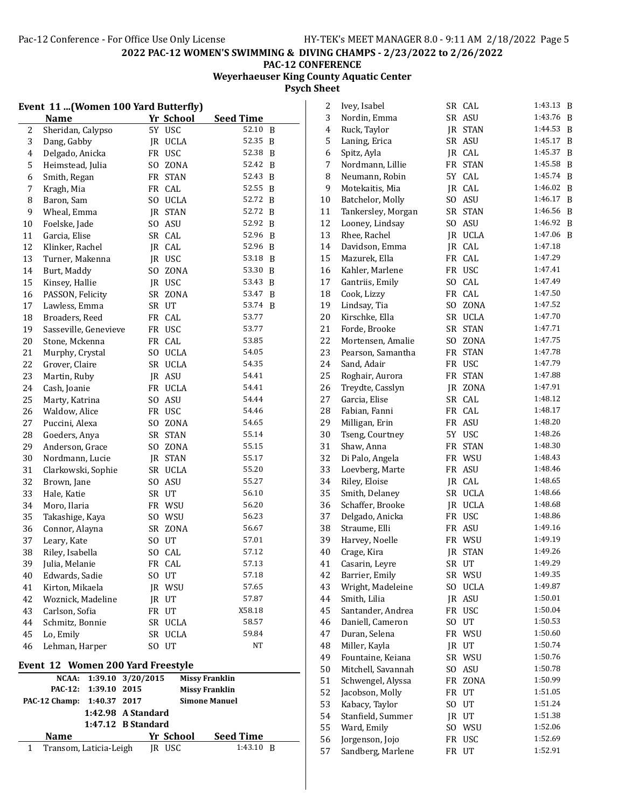# **Weyerhaeuser King County Aquatic Center Psych Sheet**

|    | Event 11  (Women 100 Yard Butterfly)<br>Yr School   |                    |            |                             |              |  |  |  |
|----|-----------------------------------------------------|--------------------|------------|-----------------------------|--------------|--|--|--|
| 2  | Name<br>Sheridan, Calypso                           |                    | 5Y USC     | <b>Seed Time</b><br>52.10 B |              |  |  |  |
| 3  | Dang, Gabby                                         |                    | JR UCLA    | 52.35                       | B            |  |  |  |
| 4  | Delgado, Anicka                                     | <b>FR</b>          | <b>USC</b> | 52.38                       | B            |  |  |  |
| 5  |                                                     |                    |            | 52.42                       |              |  |  |  |
|    | Heimstead, Julia                                    | SO.                | ZONA       | 52.43                       | B            |  |  |  |
| 6  | Smith, Regan                                        |                    | FR STAN    |                             | B            |  |  |  |
| 7  | Kragh, Mia                                          |                    | FR CAL     | 52.55                       | B            |  |  |  |
| 8  | Baron, Sam                                          |                    | SO UCLA    | 52.72                       | $\mathbf{B}$ |  |  |  |
| 9  | Wheal, Emma                                         |                    | JR STAN    | 52.72                       | B            |  |  |  |
| 10 | Foelske, Jade                                       |                    | SO ASU     | 52.92                       | B            |  |  |  |
| 11 | Garcia, Elise                                       |                    | SR CAL     | 52.96                       | B            |  |  |  |
| 12 | Klinker, Rachel                                     |                    | JR CAL     | 52.96                       | B            |  |  |  |
| 13 | Turner, Makenna                                     |                    | JR USC     | 53.18                       | B            |  |  |  |
| 14 | Burt, Maddy                                         | SO                 | ZONA       | 53.30                       | B            |  |  |  |
| 15 | Kinsey, Hallie                                      |                    | JR USC     | 53.43                       | B            |  |  |  |
| 16 | PASSON, Felicity                                    | SR                 | ZONA       | 53.47                       | B            |  |  |  |
| 17 | Lawless, Emma                                       |                    | SR UT      | 53.74 B                     |              |  |  |  |
| 18 | Broaders, Reed                                      |                    | FR CAL     | 53.77                       |              |  |  |  |
| 19 | Sasseville, Genevieve                               |                    | FR USC     | 53.77                       |              |  |  |  |
| 20 | Stone, Mckenna                                      |                    | FR CAL     | 53.85                       |              |  |  |  |
| 21 | Murphy, Crystal                                     |                    | SO UCLA    | 54.05                       |              |  |  |  |
| 22 | Grover, Claire                                      |                    | SR UCLA    | 54.35                       |              |  |  |  |
| 23 | Martin, Ruby                                        |                    | JR ASU     | 54.41                       |              |  |  |  |
| 24 | Cash, Joanie                                        |                    | FR UCLA    | 54.41                       |              |  |  |  |
| 25 | Marty, Katrina                                      | SO.                | ASU        | 54.44                       |              |  |  |  |
| 26 | Waldow, Alice                                       |                    | FR USC     | 54.46                       |              |  |  |  |
| 27 | Puccini, Alexa                                      | SO.                | ZONA       | 54.65                       |              |  |  |  |
| 28 | Goeders, Anya                                       | SR                 | STAN       | 55.14                       |              |  |  |  |
| 29 | Anderson, Grace                                     | SO.                | ZONA       | 55.15                       |              |  |  |  |
| 30 | Nordmann, Lucie                                     |                    | JR STAN    | 55.17                       |              |  |  |  |
| 31 | Clarkowski, Sophie                                  |                    | SR UCLA    | 55.20                       |              |  |  |  |
| 32 | Brown, Jane                                         |                    | SO ASU     | 55.27                       |              |  |  |  |
| 33 | Hale, Katie                                         |                    | SR UT      | 56.10                       |              |  |  |  |
| 34 | Moro, Ilaria                                        |                    | FR WSU     | 56.20                       |              |  |  |  |
| 35 | Takashige, Kaya                                     |                    | SO WSU     | 56.23                       |              |  |  |  |
| 36 | Connor, Alayna                                      |                    | SR ZONA    | 56.67                       |              |  |  |  |
| 37 | Leary, Kate                                         | SO                 | UT         | 57.01                       |              |  |  |  |
| 38 | Riley, Isabella                                     |                    | SO CAL     | 57.12                       |              |  |  |  |
| 39 | Julia, Melanie                                      |                    | FR CAL     | 57.13                       |              |  |  |  |
| 40 | Edwards, Sadie                                      | SO.                | UT         | 57.18                       |              |  |  |  |
| 41 | Kirton, Mikaela                                     |                    | JR WSU     | 57.65                       |              |  |  |  |
| 42 | Woznick, Madeline                                   |                    | JR UT      | 57.87                       |              |  |  |  |
| 43 | Carlson, Sofia                                      |                    | FR UT      | X58.18                      |              |  |  |  |
| 44 | Schmitz, Bonnie                                     |                    | SR UCLA    | 58.57                       |              |  |  |  |
| 45 | Lo, Emily                                           |                    | SR UCLA    | 59.84                       |              |  |  |  |
| 46 | Lehman, Harper                                      |                    | SO UT      | NΤ                          |              |  |  |  |
|    |                                                     |                    |            |                             |              |  |  |  |
|    | Event 12 Women 200 Yard Freestyle<br>NCAA:          | 1:39.10 3/20/2015  |            | <b>Missy Franklin</b>       |              |  |  |  |
|    | 1:39.10 2015<br><b>PAC-12:</b>                      |                    |            | <b>Missy Franklin</b>       |              |  |  |  |
|    | PAC-12 Champ: 1:40.37 2017                          |                    |            | <b>Simone Manuel</b>        |              |  |  |  |
|    |                                                     | 1:42.98 A Standard |            |                             |              |  |  |  |
|    |                                                     | 1:47.12 B Standard |            |                             |              |  |  |  |
|    | <u>Yr School</u><br><b>Seed Time</b><br><b>Name</b> |                    |            |                             |              |  |  |  |
| 1  | Transom, Laticia-Leigh                              |                    | JR USC     | 1:43.10 B                   |              |  |  |  |
|    |                                                     |                    |            |                             |              |  |  |  |

| 2              | Ivey, Isabel                  | SR        | CAL            | 1:43.13 | B |
|----------------|-------------------------------|-----------|----------------|---------|---|
| 3              | Nordin, Emma                  |           | SR ASU         | 1:43.76 | B |
| $\overline{4}$ | Ruck, Taylor                  |           | <b>JR STAN</b> | 1:44.53 | B |
| 5              | Laning, Erica                 | SR        | ASU            | 1:45.17 | B |
| 6              | Spitz, Ayla                   |           | JR CAL         | 1:45.37 | B |
| 7              | Nordmann, Lillie              | FR        | <b>STAN</b>    | 1:45.58 | B |
| 8              | Neumann, Robin                | 5Y        | CAL            | 1:45.74 | B |
| 9              | Motekaitis, Mia               | JR        | CAL            | 1:46.02 | B |
| 10             | Batchelor, Molly              | SO.       | <b>ASU</b>     | 1:46.17 | B |
| 11             | Tankersley, Morgan            | SR        | <b>STAN</b>    | 1:46.56 | B |
| 12             | Looney, Lindsay               | SO.       | <b>ASU</b>     | 1:46.92 | B |
| 13             | Rhee, Rachel                  | JR        | <b>UCLA</b>    | 1:47.06 | B |
| 14             | Davidson, Emma                | JR        | CAL            | 1:47.18 |   |
| 15             | Mazurek, Ella                 | FR        | CAL            | 1:47.29 |   |
| 16             | Kahler, Marlene               |           | FR USC         | 1:47.41 |   |
| 17             | Gantriis, Emily               | SO.       | CAL            | 1:47.49 |   |
| 18             | Cook, Lizzy                   | FR        | CAL            | 1:47.50 |   |
| 19             | Lindsay, Tia                  | SO.       | ZONA           | 1:47.52 |   |
| 20             | Kirschke, Ella                | <b>SR</b> | UCLA           | 1:47.70 |   |
| 21             | Forde, Brooke                 | <b>SR</b> | STAN           | 1:47.71 |   |
| 22             | Mortensen, Amalie             | SO.       | ZONA           | 1:47.75 |   |
| 23             | Pearson, Samantha             | FR        | <b>STAN</b>    | 1:47.78 |   |
| 24             | Sand, Adair                   | FR        | <b>USC</b>     | 1:47.79 |   |
| 25             | Roghair, Aurora               | FR        | <b>STAN</b>    | 1:47.88 |   |
| 26             | Treydte, Casslyn              |           | JR ZONA        | 1:47.91 |   |
| 27             | Garcia, Elise                 | SR        | CAL            | 1:48.12 |   |
| 28             | Fabian, Fanni                 |           | FR CAL         | 1:48.17 |   |
| 29             | Milligan, Erin                | FR        | ASU            | 1:48.20 |   |
| 30             |                               |           |                | 1:48.26 |   |
| 31             | Tseng, Courtney<br>Shaw, Anna | FR        | 5Y USC         | 1:48.30 |   |
|                |                               |           | <b>STAN</b>    | 1:48.43 |   |
| 32             | Di Palo, Angela               | FR        | WSU            | 1:48.46 |   |
| 33             | Loevberg, Marte               | FR        | ASU            | 1:48.65 |   |
| 34             | Riley, Eloise                 | JR        | CAL            | 1:48.66 |   |
| 35             | Smith, Delaney                | <b>SR</b> | <b>UCLA</b>    | 1:48.68 |   |
| 36             | Schaffer, Brooke              |           | JR UCLA        |         |   |
| 37             | Delgado, Anicka               | FR        | <b>USC</b>     | 1:48.86 |   |
| 38             | Straume, Elli                 | FR        | ASU            | 1:49.16 |   |
| 39             | Harvey, Noelle                | FR        | WSU            | 1:49.19 |   |
| 40             | Crage, Kira                   | IR.       | <b>STAN</b>    | 1:49.26 |   |
| 41             | Casarin, Leyre                | SR        | UT             | 1:49.29 |   |
| 42             | Barrier, Emily                | SR        | WSU            | 1:49.35 |   |
| 43             | Wright, Madeleine             | SO.       | <b>UCLA</b>    | 1:49.87 |   |
| 44             | Smith, Lilia                  | JR        | ASU            | 1:50.01 |   |
| 45             | Santander, Andrea             | FR        | <b>USC</b>     | 1:50.04 |   |
| 46             | Daniell, Cameron              | SO.       | UT             | 1:50.53 |   |
| 47             | Duran, Selena                 | FR        | WSU            | 1:50.60 |   |
| 48             | Miller, Kayla                 | JR        | UT             | 1:50.74 |   |
| 49             | Fountaine, Keiana             | SR        | WSU            | 1:50.76 |   |
| 50             | Mitchell, Savannah            | SO.       | ASU            | 1:50.78 |   |
| 51             | Schwengel, Alyssa             | FR        | ZONA           | 1:50.99 |   |
| 52             | Jacobson, Molly               | FR        | UT             | 1:51.05 |   |
| 53             | Kabacy, Taylor                | SO.       | UT             | 1:51.24 |   |
| 54             | Stanfield, Summer             | JR        | UT             | 1:51.38 |   |
| 55             | Ward, Emily                   | SO.       | WSU            | 1:52.06 |   |
| 56             | Jorgenson, Jojo               | FR        | <b>USC</b>     | 1:52.69 |   |
| 57             | Sandberg, Marlene             | FR        | UT             | 1:52.91 |   |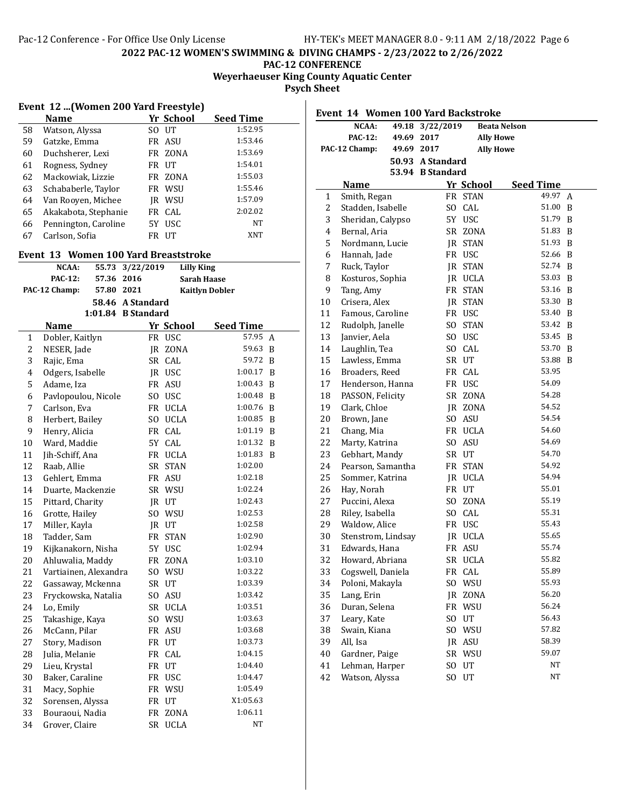## **PAC-12 CONFERENCE**

**Weyerhaeuser King County Aquatic Center**

**Psych Sheet**

|                                       | Event 12 (Women 200 Yard Freestyle) |      |            |           |  |  |  |  |  |
|---------------------------------------|-------------------------------------|------|------------|-----------|--|--|--|--|--|
| Yr School<br><b>Seed Time</b><br>Name |                                     |      |            |           |  |  |  |  |  |
| 58                                    | Watson, Alyssa                      | SO.  | $U$ T      | 1:52.95   |  |  |  |  |  |
| 59                                    | Gatzke, Emma                        |      | FR ASU     | 1:53.46   |  |  |  |  |  |
| 60                                    | Duchsherer, Lexi                    |      | FR ZONA    | 1:53.69   |  |  |  |  |  |
| 61                                    | Rogness, Sydney                     | FR   | UT         | 1:54.01   |  |  |  |  |  |
| 62                                    | Mackowiak, Lizzie                   | FR   | ZONA       | 1:55.03   |  |  |  |  |  |
| 63                                    | Schababerle, Taylor                 |      | FR WSU     | 1:55.46   |  |  |  |  |  |
| 64                                    | Van Rooyen, Michee                  | IR   | WSU        | 1:57.09   |  |  |  |  |  |
| 65                                    | Akakabota, Stephanie                |      | FR CAL     | 2:02.02   |  |  |  |  |  |
| 66                                    | Pennington, Caroline                | 5Y - | <b>USC</b> | <b>NT</b> |  |  |  |  |  |
| 67                                    | Carlson, Sofia                      | FR   | UТ         | XNT       |  |  |  |  |  |

# **Event 13 Women 100 Yard Breaststroke**

| NCAA:          |            | 55.73 3/22/2019    | Lilly King            |
|----------------|------------|--------------------|-----------------------|
| <b>PAC-12:</b> | 57.36 2016 |                    | <b>Sarah Haase</b>    |
| PAC-12 Champ:  | 57.80 2021 |                    | <b>Kaitlyn Dobler</b> |
|                |            | 58.46 A Standard   |                       |
|                |            | 1:01.84 R Standard |                       |

|                | Name                  |           | Yr School   | <b>Seed Time</b> |   |  |  |
|----------------|-----------------------|-----------|-------------|------------------|---|--|--|
| $\mathbf{1}$   | Dobler, Kaitlyn       |           | FR USC      | 57.95            | A |  |  |
| $\overline{c}$ | NESER, Jade           | JR        | ZONA        | 59.63            | B |  |  |
| 3              | Rajic, Ema            | SR        | CAL         | 59.72            | B |  |  |
| $\overline{4}$ | Odgers, Isabelle      |           | JR USC      | 1:00.17          | B |  |  |
| 5              | Adame, Iza            | FR        | ASU         | 1:00.43          | B |  |  |
| 6              | Pavlopoulou, Nicole   | SO.       | <b>USC</b>  | 1:00.48          | B |  |  |
| 7              | Carlson, Eva          |           | FR UCLA     | 1:00.76          | B |  |  |
| 8              | Herbert, Bailey       |           | SO UCLA     | 1:00.85          | B |  |  |
| 9              | Henry, Alicia         |           | FR CAL      | 1:01.19          | B |  |  |
| 10             | Ward, Maddie          | 5Y        | CAL         | 1:01.32          | B |  |  |
| 11             | Jih-Schiff, Ana       |           | FR UCLA     | 1:01.83          | B |  |  |
| 12             | Raab, Allie           | SR        | <b>STAN</b> | 1:02.00          |   |  |  |
| 13             | Gehlert, Emma         | FR        | <b>ASU</b>  | 1:02.18          |   |  |  |
| 14             | Duarte, Mackenzie     |           | SR WSU      | 1:02.24          |   |  |  |
| 15             | Pittard, Charity      |           | JR UT       | 1:02.43          |   |  |  |
| 16             | Grotte, Hailey        |           | SO WSU      | 1:02.53          |   |  |  |
| 17             | Miller, Kayla         |           | JR UT       | 1:02.58          |   |  |  |
| 18             | Tadder, Sam           | FR        | <b>STAN</b> | 1:02.90          |   |  |  |
| 19             | Kijkanakorn, Nisha    | 5Y        | <b>USC</b>  | 1:02.94          |   |  |  |
| 20             | Ahluwalia, Maddy      | FR        | ZONA        | 1:03.10          |   |  |  |
| 21             | Vartiainen, Alexandra | SO.       | WSU         | 1:03.22          |   |  |  |
| 22             | Gassaway, Mckenna     |           | SR UT       | 1:03.39          |   |  |  |
| 23             | Fryckowska, Natalia   | SO.       | <b>ASU</b>  | 1:03.42          |   |  |  |
| 24             | Lo, Emily             |           | SR UCLA     | 1:03.51          |   |  |  |
| 25             | Takashige, Kaya       |           | SO WSU      | 1:03.63          |   |  |  |
| 26             | McCann, Pilar         | FR        | <b>ASU</b>  | 1:03.68          |   |  |  |
| 27             | Story, Madison        | <b>FR</b> | UT          | 1:03.73          |   |  |  |
| 28             | Julia, Melanie        | FR        | CAL         | 1:04.15          |   |  |  |
| 29             | Lieu, Krystal         |           | FR UT       | 1:04.40          |   |  |  |
| 30             | Baker, Caraline       |           | FR USC      | 1:04.47          |   |  |  |
| 31             | Macy, Sophie          |           | FR WSU      | 1:05.49          |   |  |  |
| 32             | Sorensen, Alyssa      |           | FR UT       | X1:05.63         |   |  |  |
| 33             | Bouraoui, Nadia       | FR        | ZONA        | 1:06.11          |   |  |  |
| 34             | Grover, Claire        | <b>SR</b> | <b>UCLA</b> | NΤ               |   |  |  |

| Event 14 Women 100 Yard Backstroke |                                  |            |                  |                  |                     |                  |   |
|------------------------------------|----------------------------------|------------|------------------|------------------|---------------------|------------------|---|
|                                    | NCAA:                            | 49.18      | 3/22/2019        |                  | <b>Beata Nelson</b> |                  |   |
|                                    | <b>PAC-12:</b>                   | 49.69      | 2017             |                  | <b>Ally Howe</b>    |                  |   |
|                                    | PAC-12 Champ:                    | 49.69 2017 |                  |                  | <b>Ally Howe</b>    |                  |   |
|                                    |                                  |            | 50.93 A Standard |                  |                     |                  |   |
|                                    |                                  |            | 53.94 B Standard |                  |                     |                  |   |
|                                    | <b>Name</b>                      |            |                  | Yr School        |                     | <b>Seed Time</b> |   |
| 1                                  | Smith, Regan                     |            |                  | FR STAN          |                     | 49.97            | A |
| 2                                  | Stadden, Isabelle                |            | SO.              | CAL              |                     | 51.00            | B |
| 3                                  | Sheridan, Calypso                |            |                  | 5Y USC           |                     | 51.79            | B |
| 4                                  | Bernal, Aria                     |            |                  | SR ZONA          |                     | 51.83            | B |
| 5                                  | Nordmann, Lucie                  |            |                  | JR STAN          |                     | 51.93            | B |
| 6                                  | Hannah, Jade                     |            |                  | FR USC           |                     | 52.66            | B |
| $\overline{7}$                     | Ruck, Taylor                     |            |                  | JR STAN          |                     | 52.74            | B |
| 8                                  | Kosturos, Sophia                 |            |                  | JR UCLA          |                     | 53.03            | B |
| 9                                  | Tang, Amy                        |            |                  | FR STAN          |                     | 53.16            | B |
| 10                                 | Crisera, Alex                    |            |                  | JR STAN          |                     | 53.30            | B |
| 11                                 | Famous, Caroline                 |            |                  | FR USC           |                     | 53.40            | B |
| 12                                 | Rudolph, Janelle                 |            | SO.              | <b>STAN</b>      |                     | 53.42            | B |
| 13                                 | Janvier, Aela                    |            |                  | SO USC           |                     | 53.45            | B |
| 14                                 | Laughlin, Tea                    |            |                  | SO CAL           |                     | 53.70            | B |
| 15                                 | Lawless, Emma                    |            |                  | SR UT            |                     | 53.88<br>53.95   | B |
| 16                                 | Broaders, Reed                   |            |                  | FR CAL<br>FR USC |                     | 54.09            |   |
| 17                                 | Henderson, Hanna                 |            |                  | SR ZONA          |                     | 54.28            |   |
| 18<br>19                           | PASSON, Felicity<br>Clark, Chloe |            |                  | IR ZONA          |                     | 54.52            |   |
| 20                                 | Brown, Jane                      |            |                  | SO ASU           |                     | 54.54            |   |
| 21                                 | Chang, Mia                       |            |                  | FR UCLA          |                     | 54.60            |   |
| 22                                 | Marty, Katrina                   |            |                  | SO ASU           |                     | 54.69            |   |
| 23                                 | Gebhart, Mandy                   |            |                  | SR UT            |                     | 54.70            |   |
| 24                                 | Pearson, Samantha                |            |                  | FR STAN          |                     | 54.92            |   |
| 25                                 | Sommer, Katrina                  |            |                  | JR UCLA          |                     | 54.94            |   |
| 26                                 | Hay, Norah                       |            |                  | FR UT            |                     | 55.01            |   |
| 27                                 | Puccini, Alexa                   |            |                  | SO ZONA          |                     | 55.19            |   |
| 28                                 | Riley, Isabella                  |            |                  | SO CAL           |                     | 55.31            |   |
| 29                                 | Waldow, Alice                    |            |                  | FR USC           |                     | 55.43            |   |
| 30                                 | Stenstrom, Lindsay               |            |                  | JR UCLA          |                     | 55.65            |   |
| 31                                 | Edwards, Hana                    |            |                  | FR ASU           |                     | 55.74            |   |
| 32                                 | Howard, Abriana                  |            |                  | SR UCLA          |                     | 55.82            |   |
| 33                                 | Cogswell, Daniela                |            | FR               | CAL              |                     | 55.89            |   |
| 34                                 | Poloni, Makayla                  |            | S <sub>O</sub>   | WSU              |                     | 55.93            |   |
| 35                                 | Lang, Erin                       |            | IR               | ZONA             |                     | 56.20            |   |
| 36                                 | Duran, Selena                    |            | FR               | WSU              |                     | 56.24            |   |
| 37                                 | Leary, Kate                      |            | SO.              | UT               |                     | 56.43            |   |
| 38                                 | Swain, Kiana                     |            | S <sub>O</sub>   | WSU              |                     | 57.82            |   |
| 39                                 | All, Isa                         |            | JR               | ASU              |                     | 58.39            |   |
| 40                                 | Gardner, Paige                   |            | SR               | WSU              |                     | 59.07            |   |
| 41                                 | Lehman, Harper                   |            | SO.              | UT               |                     | NT               |   |
| 42                                 | Watson, Alyssa                   |            | SO               | UT               |                     | NT               |   |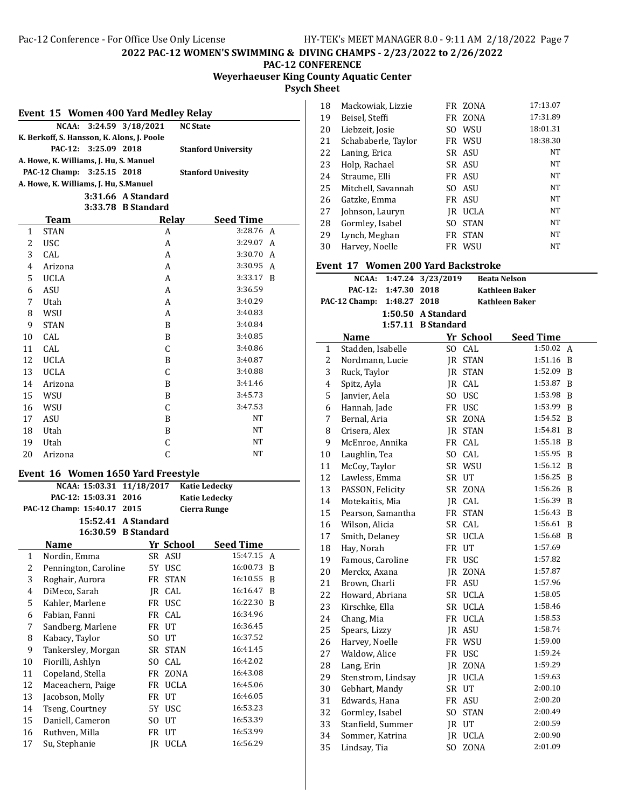# **Weyerhaeuser King County Aquatic Center Psych Sheet**

| Event 15 Women 400 Yard Medley Relay                    |                                                              |  |                    |                 |   |  |  |  |
|---------------------------------------------------------|--------------------------------------------------------------|--|--------------------|-----------------|---|--|--|--|
|                                                         | NCAA:                                                        |  | 3:24.59 3/18/2021  | <b>NC State</b> |   |  |  |  |
|                                                         | K. Berkoff, S. Hansson, K. Alons, J. Poole                   |  |                    |                 |   |  |  |  |
|                                                         | <b>PAC-12:</b><br>3:25.09 2018<br><b>Stanford University</b> |  |                    |                 |   |  |  |  |
|                                                         | A. Howe, K. Williams, J. Hu, S. Manuel                       |  |                    |                 |   |  |  |  |
| PAC-12 Champ: 3:25.15 2018<br><b>Stanford Univesity</b> |                                                              |  |                    |                 |   |  |  |  |
|                                                         | A. Howe, K. Williams, J. Hu, S.Manuel                        |  |                    |                 |   |  |  |  |
|                                                         |                                                              |  | 3:31.66 A Standard |                 |   |  |  |  |
|                                                         |                                                              |  | 3:33.78 B Standard |                 |   |  |  |  |
|                                                         | Team                                                         |  | Relay              | Seed Time       |   |  |  |  |
| 1                                                       | <b>STAN</b>                                                  |  | A                  | 3:28.76         | A |  |  |  |
| 2                                                       | <b>USC</b>                                                   |  | A                  | 3:29.07         | A |  |  |  |
| 3                                                       | CAL                                                          |  | A                  | 3:30.70         | A |  |  |  |
| 4                                                       | Arizona                                                      |  | A                  | 3:30.95         | A |  |  |  |
| 5                                                       | <b>UCLA</b>                                                  |  | A                  | 3:33.17         | B |  |  |  |
| 6                                                       | <b>ASU</b>                                                   |  | A                  | 3:36.59         |   |  |  |  |
| 7                                                       | Utah                                                         |  | A                  | 3:40.29         |   |  |  |  |
| 8                                                       | WSU                                                          |  | A                  | 3:40.83         |   |  |  |  |
| 9                                                       | <b>STAN</b>                                                  |  | B                  | 3:40.84         |   |  |  |  |
| 10                                                      | CAL                                                          |  | B                  | 3:40.85         |   |  |  |  |
| 11                                                      | CAL                                                          |  | C                  | 3:40.86         |   |  |  |  |
| 12                                                      | <b>UCLA</b>                                                  |  | B                  | 3:40.87         |   |  |  |  |
| 13                                                      | <b>UCLA</b>                                                  |  | C                  | 3:40.88         |   |  |  |  |
| 14                                                      | Arizona                                                      |  | B                  | 3:41.46         |   |  |  |  |
| 15                                                      | WSU                                                          |  | B                  | 3:45.73         |   |  |  |  |
| 16                                                      | WSU                                                          |  | C                  | 3:47.53         |   |  |  |  |
| 17                                                      | <b>ASU</b>                                                   |  | B                  | NT              |   |  |  |  |
| 18                                                      | Utah                                                         |  | B                  | <b>NT</b>       |   |  |  |  |
| 19                                                      | Utah                                                         |  | C                  | NT              |   |  |  |  |
| 20                                                      | Arizona                                                      |  | C                  | NT              |   |  |  |  |

### **Event** 16 Women 1650 Yard Freestyle

|              | NCAA: 15:03.31 11/18/2017 Katie Ledecky       |       |             |                     |              |  |
|--------------|-----------------------------------------------|-------|-------------|---------------------|--------------|--|
|              | PAC-12: 15:03.31 2016<br><b>Katie Ledecky</b> |       |             |                     |              |  |
|              | PAC-12 Champ: 15:40.17 2015                   |       |             | <b>Cierra Runge</b> |              |  |
|              | 15:52.41 A Standard                           |       |             |                     |              |  |
|              | 16:30.59 B Standard                           |       |             |                     |              |  |
|              | <b>Name</b>                                   |       | Yr School   | <b>Seed Time</b>    |              |  |
| $\mathbf{1}$ | Nordin, Emma                                  |       | SR ASU      | 15:47.15            | A            |  |
| 2            | Pennington, Caroline                          |       | 5Y USC      | 16:00.73            | <sup>B</sup> |  |
| 3            | Roghair, Aurora                               |       | FR STAN     | 16:10.55            | B            |  |
| 4            | DiMeco, Sarah                                 |       | IR CAL      | 16:16.47            | B            |  |
| 5            | Kahler, Marlene                               |       | FR USC      | 16:22.30            | B            |  |
| 6            | Fabian, Fanni                                 |       | FR CAL      | 16:34.96            |              |  |
| 7            | Sandberg, Marlene                             | FR UT |             | 16:36.45            |              |  |
| 8            | Kabacy, Taylor                                | SO UT |             | 16:37.52            |              |  |
| 9            | Tankersley, Morgan                            |       | SR STAN     | 16:41.45            |              |  |
| 10           | Fiorilli, Ashlyn                              | SO.   | CAL         | 16:42.02            |              |  |
| 11           | Copeland, Stella                              |       | FR ZONA     | 16:43.08            |              |  |
| 12           | Maceachern, Paige                             | FR    | UCLA        | 16:45.06            |              |  |
| 13           | Jacobson, Molly                               | FR    | UT          | 16:46.05            |              |  |
| 14           | Tseng, Courtney                               |       | 5Y USC      | 16:53.23            |              |  |
| 15           | Daniell, Cameron                              | SO.   | UT          | 16:53.39            |              |  |
| 16           | Ruthven, Milla                                | FR    | UT          | 16:53.99            |              |  |
| 17           | Su, Stephanie                                 | IR    | <b>UCLA</b> | 16:56.29            |              |  |

| 18 | Mackowiak, Lizzie   |      | FR ZONA     | 17:13.07  |
|----|---------------------|------|-------------|-----------|
| 19 | Beisel, Steffi      |      | FR ZONA     | 17:31.89  |
| 20 | Liebzeit, Josie     | SO   | WSU         | 18:01.31  |
| 21 | Schababerle, Taylor |      | FR WSU      | 18:38.30  |
| 22 | Laning, Erica       |      | SR ASU      | NT        |
| 23 | Holp, Rachael       |      | SR ASU      | NT        |
| 24 | Straume, Elli       |      | FR ASU      | <b>NT</b> |
| 25 | Mitchell, Savannah  |      | SO ASU      | <b>NT</b> |
| 26 | Gatzke, Emma        |      | FR ASU      | NT        |
| 27 | Johnson, Lauryn     | IR   | <b>UCLA</b> | NT        |
| 28 | Gormley, Isabel     | SO.  | <b>STAN</b> | <b>NT</b> |
| 29 | Lynch, Meghan       | FR - | <b>STAN</b> | <b>NT</b> |
| 30 | Harvey, Noelle      |      | FR WSU      | <b>NT</b> |

## **Event 17 Women 200 Yard Backstroke**

| еленс II                | wulitti 200 Taru batksu ukt<br>NCAA: | 1:47.24 3/23/2019  | <b>Beata Nelson</b> |                       |   |
|-------------------------|--------------------------------------|--------------------|---------------------|-----------------------|---|
|                         | <b>PAC-12:</b><br>1:47.30            | 2018               |                     | <b>Kathleen Baker</b> |   |
|                         | PAC-12 Champ:<br>1:48.27             | 2018               |                     | <b>Kathleen Baker</b> |   |
|                         |                                      | 1:50.50 A Standard |                     |                       |   |
|                         |                                      | 1:57.11 B Standard |                     |                       |   |
|                         | Name                                 |                    | Yr School           | <b>Seed Time</b>      |   |
| 1                       | Stadden, Isabelle                    |                    | SO CAL              | 1:50.02               | A |
| 2                       | Nordmann, Lucie                      |                    | JR STAN             | 1:51.16               | B |
| 3                       | Ruck, Taylor                         |                    | JR STAN             | 1:52.09               | B |
| $\overline{\mathbf{4}}$ | Spitz, Ayla                          |                    | IR CAL              | 1:53.87               | B |
| 5                       | Janvier, Aela                        |                    | SO USC              | 1:53.98               | B |
| 6                       | Hannah, Jade                         |                    | FR USC              | 1:53.99               | B |
| 7                       | Bernal, Aria                         |                    | SR ZONA             | 1:54.52               | B |
| 8                       | Crisera, Alex                        |                    | <b>IR STAN</b>      | 1:54.81               | B |
| 9                       | McEnroe, Annika                      |                    | FR CAL              | 1:55.18               | B |
| 10                      | Laughlin, Tea                        |                    | SO CAL              | 1:55.95               | B |
| 11                      | McCoy, Taylor                        |                    | SR WSU              | 1:56.12               | B |
| 12                      | Lawless, Emma                        |                    | SR UT               | 1:56.25               | B |
| 13                      | PASSON, Felicity                     |                    | SR ZONA             | 1:56.26               | B |
| 14                      | Motekaitis, Mia                      |                    | JR CAL              | 1:56.39               | B |
| 15                      | Pearson, Samantha                    |                    | FR STAN             | 1:56.43               | B |
| 16                      | Wilson, Alicia                       |                    | SR CAL              | 1:56.61               | B |
| 17                      | Smith, Delaney                       |                    | SR UCLA             | 1:56.68               | B |
| 18                      | Hay, Norah                           |                    | FR UT               | 1:57.69               |   |
| 19                      | Famous, Caroline                     |                    | FR USC              | 1:57.82               |   |
| 20                      | Merckx, Axana                        |                    | JR ZONA             | 1:57.87               |   |
| 21                      | Brown, Charli                        |                    | FR ASU              | 1:57.96               |   |
| 22                      | Howard, Abriana                      |                    | SR UCLA             | 1:58.05               |   |
| 23                      | Kirschke, Ella                       |                    | SR UCLA             | 1:58.46               |   |
| 24                      | Chang, Mia                           |                    | FR UCLA             | 1:58.53               |   |
| 25                      | Spears, Lizzy                        |                    | IR ASU              | 1:58.74               |   |
| 26                      | Harvey, Noelle                       |                    | FR WSU              | 1:59.00               |   |
| 27                      | Waldow, Alice                        | FR                 | USC                 | 1:59.24               |   |
| 28                      | Lang, Erin                           |                    | IR ZONA             | 1:59.29               |   |
| 29                      | Stenstrom, Lindsay                   |                    | <b>IR UCLA</b>      | 1:59.63               |   |
| 30                      | Gebhart, Mandy                       |                    | SR UT               | 2:00.10               |   |
| 31                      | Edwards, Hana                        |                    | FR ASU              | 2:00.20               |   |
| 32                      | Gormley, Isabel                      |                    | SO STAN             | 2:00.49               |   |
| 33                      | Stanfield, Summer                    |                    | JR UT               | 2:00.59               |   |
| 34                      | Sommer, Katrina                      |                    | JR UCLA             | 2:00.90               |   |
| 35                      | Lindsay, Tia                         | SO.                | ZONA                | 2:01.09               |   |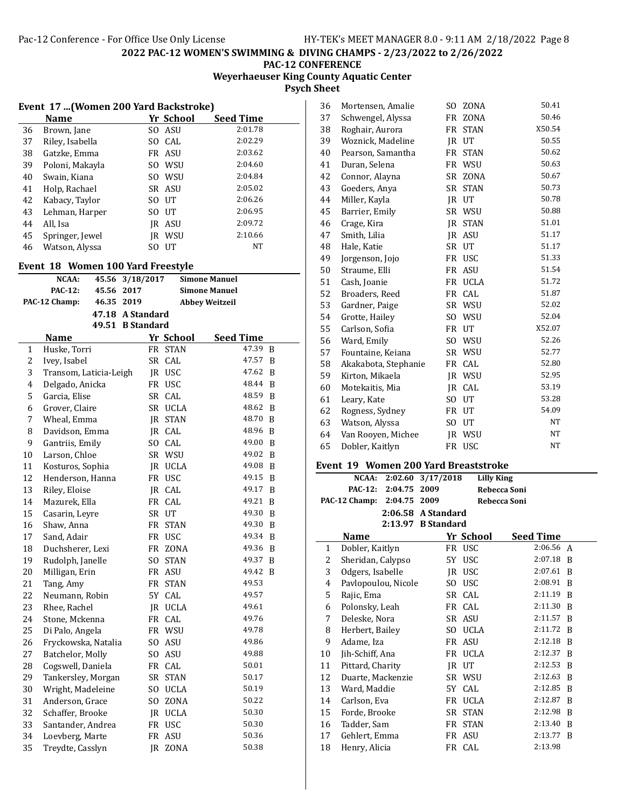# **Weyerhaeuser King County Aquatic Center Psych Sheet**

| <b>Event 17  (Women 200 Yard Backstroke)</b> |                 |     |        |         |  |
|----------------------------------------------|-----------------|-----|--------|---------|--|
| Yr School<br><b>Seed Time</b><br><b>Name</b> |                 |     |        |         |  |
| 36                                           | Brown, Jane     | SO. | ASU    | 2:01.78 |  |
| 37                                           | Riley, Isabella | SO. | CAL.   | 2:02.29 |  |
| 38                                           | Gatzke, Emma    |     | FR ASU | 2:03.62 |  |
| 39                                           | Poloni, Makayla | SO. | WSU    | 2:04.60 |  |
| 40                                           | Swain, Kiana    | SO. | WSU    | 2:04.84 |  |
| 41                                           | Holp, Rachael   |     | SR ASU | 2:05.02 |  |
| 42                                           | Kabacy, Taylor  | SO. | UT     | 2:06.26 |  |
| 43                                           | Lehman, Harper  | SΟ  | UT     | 2:06.95 |  |
| 44                                           | All, Isa        | IR  | ASU    | 2:09.72 |  |
| 45                                           | Springer, Jewel | IR  | WSU    | 2:10.66 |  |
| 46                                           | Watson, Alyssa  | SO  | UT     | NT      |  |

### **Event 18 Women 100 Yard Freestyle**

|                              | NCAA:                  | 45.56 | 3/18/2017        |           |                       | <b>Simone Manuel</b> |   |
|------------------------------|------------------------|-------|------------------|-----------|-----------------------|----------------------|---|
| <b>PAC-12:</b><br>45.56 2017 |                        |       |                  |           | <b>Simone Manuel</b>  |                      |   |
| 46.35 2019<br>PAC-12 Champ:  |                        |       |                  |           | <b>Abbey Weitzeil</b> |                      |   |
|                              |                        |       | 47.18 A Standard |           |                       |                      |   |
|                              |                        |       | 49.51 B Standard |           |                       |                      |   |
|                              | <b>Name</b>            |       |                  |           | Yr School             | <b>Seed Time</b>     |   |
| 1                            | Huske, Torri           |       |                  | FR        | <b>STAN</b>           | 47.39                | B |
| $\overline{c}$               | Ivey, Isabel           |       |                  | SR        | CAL                   | 47.57                | B |
| 3                            | Transom, Laticia-Leigh |       |                  |           | JR USC                | 47.62                | B |
| 4                            | Delgado, Anicka        |       |                  |           | FR USC                | 48.44                | B |
| 5                            | Garcia, Elise          |       |                  | SR        | CAL                   | 48.59                | B |
| 6                            | Grover, Claire         |       |                  |           | SR UCLA               | 48.62                | B |
| 7                            | Wheal, Emma            |       |                  | IR        | <b>STAN</b>           | 48.70                | B |
| 8                            | Davidson, Emma         |       |                  |           | JR CAL                | 48.96                | B |
| 9                            | Gantriis, Emily        |       |                  |           | SO CAL                | 49.00                | B |
| 10                           | Larson, Chloe          |       |                  |           | SR WSU                | 49.02                | B |
| 11                           | Kosturos, Sophia       |       |                  |           | JR UCLA               | 49.08                | B |
| 12                           | Henderson, Hanna       |       |                  |           | FR USC                | 49.15                | B |
| 13                           | Riley, Eloise          |       |                  | JR        | CAL                   | 49.17                | B |
| 14                           | Mazurek, Ella          |       |                  | FR        | CAL                   | 49.21                | B |
| 15                           | Casarin, Leyre         |       |                  |           | SR UT                 | 49.30                | B |
| 16                           | Shaw, Anna             |       |                  | FR        | <b>STAN</b>           | 49.30                | B |
| 17                           | Sand, Adair            |       |                  |           | FR USC                | 49.34                | B |
| 18                           | Duchsherer, Lexi       |       |                  | FR        | ZONA                  | 49.36                | B |
| 19                           | Rudolph, Janelle       |       |                  | SO.       | <b>STAN</b>           | 49.37                | B |
| 20                           | Milligan, Erin         |       |                  |           | FR ASU                | 49.42                | B |
| 21                           | Tang, Amy              |       |                  | FR        | <b>STAN</b>           | 49.53                |   |
| 22                           | Neumann, Robin         |       |                  | 5Y        | CAL                   | 49.57                |   |
| 23                           | Rhee, Rachel           |       |                  |           | JR UCLA               | 49.61                |   |
| 24                           | Stone, Mckenna         |       |                  |           | FR CAL                | 49.76                |   |
| 25                           | Di Palo, Angela        |       |                  |           | FR WSU                | 49.78                |   |
| 26                           | Fryckowska, Natalia    |       |                  |           | SO ASU                | 49.86                |   |
| 27                           | Batchelor, Molly       |       |                  | SO.       | ASU                   | 49.88                |   |
| 28                           | Cogswell, Daniela      |       |                  |           | FR CAL                | 50.01                |   |
| 29                           | Tankersley, Morgan     |       |                  | SR        | <b>STAN</b>           | 50.17                |   |
| 30                           | Wright, Madeleine      |       |                  |           | SO UCLA               | 50.19                |   |
| 31                           | Anderson, Grace        |       |                  |           | SO ZONA               | 50.22                |   |
| 32                           | Schaffer, Brooke       |       |                  |           | JR UCLA               | 50.30                |   |
| 33                           | Santander, Andrea      |       |                  |           | FR USC                | 50.30                |   |
| 34                           | Loevberg, Marte        |       |                  | <b>FR</b> | ASU                   | 50.36                |   |
| 35                           | Treydte, Casslyn       |       |                  | <b>IR</b> | ZONA                  | 50.38                |   |

| 36 | Mortensen, Amalie    | SO.            | <b>ZONA</b> | 50.41  |
|----|----------------------|----------------|-------------|--------|
| 37 | Schwengel, Alyssa    | FR             | ZONA        | 50.46  |
| 38 | Roghair, Aurora      | FR.            | <b>STAN</b> | X50.54 |
| 39 | Woznick, Madeline    | JR             | UT          | 50.55  |
| 40 | Pearson, Samantha    | <b>FR</b>      | <b>STAN</b> | 50.62  |
| 41 | Duran, Selena        | FR             | WSU         | 50.63  |
| 42 | Connor, Alayna       | SR.            | ZONA        | 50.67  |
| 43 | Goeders, Anya        | SR             | <b>STAN</b> | 50.73  |
| 44 | Miller, Kayla        | IR             | UT          | 50.78  |
| 45 | Barrier, Emily       | SR             | WSU         | 50.88  |
| 46 | Crage, Kira          | <b>IR</b>      | <b>STAN</b> | 51.01  |
| 47 | Smith, Lilia         | IR             | <b>ASU</b>  | 51.17  |
| 48 | Hale, Katie          | <b>SR</b>      | UT          | 51.17  |
| 49 | Jorgenson, Jojo      | <b>FR</b>      | <b>USC</b>  | 51.33  |
| 50 | Straume, Elli        | <b>FR</b>      | ASU         | 51.54  |
| 51 | Cash, Joanie         | <b>FR</b>      | <b>UCLA</b> | 51.72  |
| 52 | Broaders, Reed       | FR             | CAL         | 51.87  |
| 53 | Gardner, Paige       | SR             | WSU         | 52.02  |
| 54 | Grotte, Hailey       | S <sub>O</sub> | WSU         | 52.04  |
| 55 | Carlson, Sofia       | <b>FR</b>      | UT          | X52.07 |
| 56 | Ward, Emily          | SO.            | WSU         | 52.26  |
| 57 | Fountaine, Keiana    | SR             | WSU         | 52.77  |
| 58 | Akakabota, Stephanie | FR             | CAL         | 52.80  |
| 59 | Kirton, Mikaela      | IR.            | WSU         | 52.95  |
| 60 | Motekaitis, Mia      | IR.            | CAL         | 53.19  |
| 61 | Leary, Kate          | SO.            | UT          | 53.28  |
| 62 | Rogness, Sydney      | <b>FR</b>      | UT          | 54.09  |
| 63 | Watson, Alyssa       | S <sub>O</sub> | UT          | NT     |
| 64 | Van Rooyen, Michee   | JR             | WSU         | NT     |
| 65 | Dobler, Kaitlyn      | <b>FR</b>      | <b>USC</b>  | NT     |

# **Event 19 Women 200 Yard Breaststroke**

|    | NCAA:               | 2:02.60 | 3/17/2018            | <b>Lilly King</b> |              |   |
|----|---------------------|---------|----------------------|-------------------|--------------|---|
|    | <b>PAC-12:</b>      | 2:04.75 | 2009                 |                   | Rebecca Soni |   |
|    | PAC-12 Champ:       | 2:04.75 | 2009                 |                   | Rebecca Soni |   |
|    |                     |         | $2:06.58$ A Standard |                   |              |   |
|    |                     |         | 2:13.97 B Standard   |                   |              |   |
|    | Name                |         |                      | Yr School         | Seed Time    |   |
| 1  | Dobler, Kaitlyn     |         |                      | FR USC            | 2:06.56      | A |
| 2  | Sheridan, Calypso   |         |                      | 5Y USC            | 2:07.18      | B |
| 3  | Odgers, Isabelle    |         | IR                   | USC               | 2:07.61      | B |
| 4  | Pavlopoulou, Nicole |         | SO.                  | <b>USC</b>        | 2:08.91      | B |
| 5  | Rajic, Ema          |         |                      | SR CAL            | 2:11.19      | B |
| 6  | Polonsky, Leah      |         |                      | FR CAL            | 2:11.30      | B |
| 7  | Deleske, Nora       |         |                      | SR ASU            | 2:11.57      | B |
| 8  | Herbert, Bailey     |         | SO.                  | <b>UCLA</b>       | 2:11.72      | B |
| 9  | Adame, Iza          |         | FR                   | ASU               | 2:12.18      | B |
| 10 | Jih-Schiff, Ana     |         |                      | FR UCLA           | 2:12.37      | B |
| 11 | Pittard, Charity    |         |                      | IR UT             | 2:12.53      | B |
| 12 | Duarte, Mackenzie   |         |                      | SR WSU            | 2:12.63      | B |
| 13 | Ward, Maddie        |         |                      | 5Y CAL            | 2:12.85      | B |
| 14 | Carlson, Eva        |         |                      | FR UCLA           | 2:12.87      | B |
| 15 | Forde, Brooke       |         |                      | SR STAN           | 2:12.98      | B |
| 16 | Tadder, Sam         |         | FR                   | <b>STAN</b>       | 2:13.40      | B |
| 17 | Gehlert, Emma       |         | FR                   | ASU               | 2:13.77      | B |
| 18 | Henry, Alicia       |         |                      | FR CAL            | 2:13.98      |   |